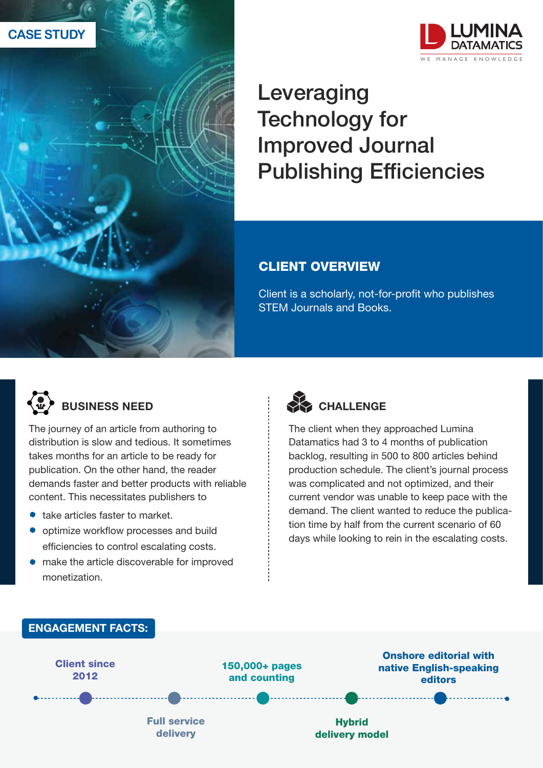



# Leveraging Technology for Improved Journal Publishing Efficiencies

#### CLIENT OVERVIEW

Client is a scholarly, not-for-profit who publishes STEM Journals and Books.



### BUSINESS NEED

The journey of an article from authoring to distribution is slow and tedious. It sometimes takes months for an article to be ready for publication. On the other hand, the reader demands faster and better products with reliable content. This necessitates publishers to

- take articles faster to market.
- $\bullet$  optimize workflow processes and build efficiencies to control escalating costs.
- make the article discoverable for improved monetization.



The client when they approached Lumina Datamatics had 3 to 4 months of publication backlog, resulting in 500 to 800 articles behind production schedule. The client's journal process was complicated and not optimized, and their current vendor was unable to keep pace with the demand. The client wanted to reduce the publication time by half from the current scenario of 60 days while looking to rein in the escalating costs.